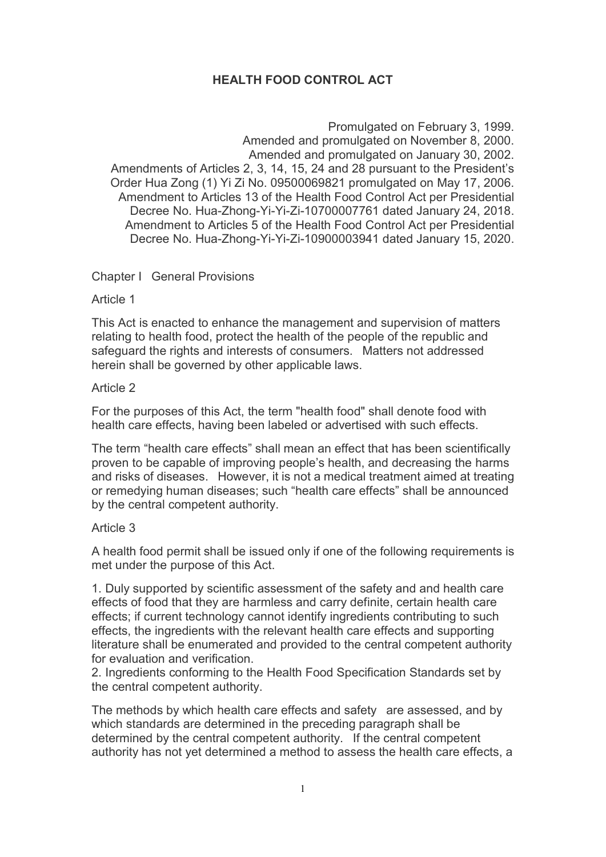# HEALTH FOOD CONTROL ACT

Promulgated on February 3, 1999. Amended and promulgated on November 8, 2000. Amended and promulgated on January 30, 2002. Amendments of Articles 2, 3, 14, 15, 24 and 28 pursuant to the President's Order Hua Zong (1) Yi Zi No. 09500069821 promulgated on May 17, 2006. Amendment to Articles 13 of the Health Food Control Act per Presidential Decree No. Hua-Zhong-Yi-Yi-Zi-10700007761 dated January 24, 2018. Amendment to Articles 5 of the Health Food Control Act per Presidential Decree No. Hua-Zhong-Yi-Yi-Zi-10900003941 dated January 15, 2020.

# Chapter I General Provisions

## Article 1

This Act is enacted to enhance the management and supervision of matters relating to health food, protect the health of the people of the republic and safeguard the rights and interests of consumers. Matters not addressed herein shall be governed by other applicable laws.

## Article 2

For the purposes of this Act, the term "health food" shall denote food with health care effects, having been labeled or advertised with such effects.

The term "health care effects" shall mean an effect that has been scientifically proven to be capable of improving people's health, and decreasing the harms and risks of diseases. However, it is not a medical treatment aimed at treating or remedying human diseases; such "health care effects" shall be announced by the central competent authority.

## Article 3

A health food permit shall be issued only if one of the following requirements is met under the purpose of this Act.

1. Duly supported by scientific assessment of the safety and and health care effects of food that they are harmless and carry definite, certain health care effects; if current technology cannot identify ingredients contributing to such effects, the ingredients with the relevant health care effects and supporting literature shall be enumerated and provided to the central competent authority for evaluation and verification.

2. Ingredients conforming to the Health Food Specification Standards set by the central competent authority.

The methods by which health care effects and safety are assessed, and by which standards are determined in the preceding paragraph shall be determined by the central competent authority. If the central competent authority has not yet determined a method to assess the health care effects, a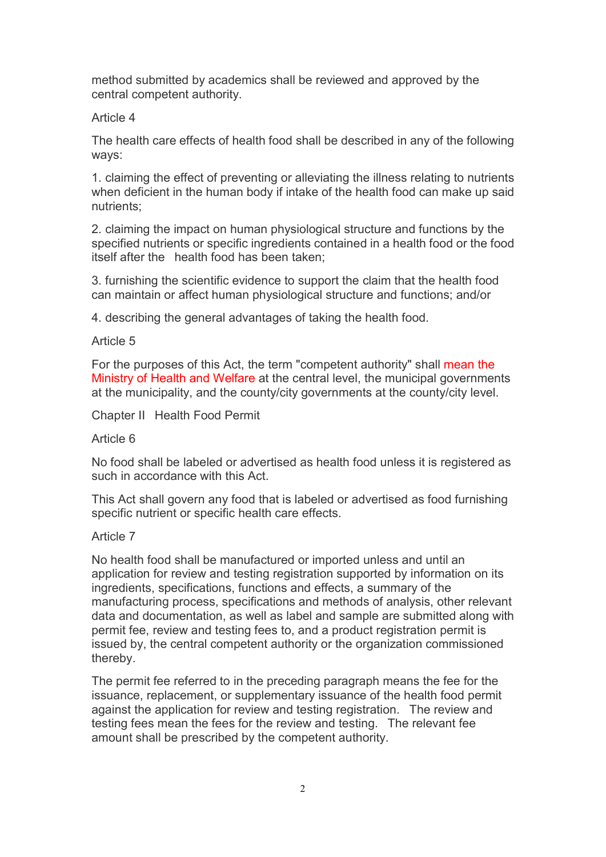method submitted by academics shall be reviewed and approved by the central competent authority.

# Article 4

The health care effects of health food shall be described in any of the following ways:

1. claiming the effect of preventing or alleviating the illness relating to nutrients when deficient in the human body if intake of the health food can make up said nutrients;

2. claiming the impact on human physiological structure and functions by the specified nutrients or specific ingredients contained in a health food or the food itself after the health food has been taken;

3. furnishing the scientific evidence to support the claim that the health food can maintain or affect human physiological structure and functions; and/or

4. describing the general advantages of taking the health food.

# Article 5

For the purposes of this Act, the term "competent authority" shall mean the Ministry of Health and Welfare at the central level, the municipal governments at the municipality, and the county/city governments at the county/city level.

Chapter II Health Food Permit

## Article 6

No food shall be labeled or advertised as health food unless it is registered as such in accordance with this Act.

This Act shall govern any food that is labeled or advertised as food furnishing specific nutrient or specific health care effects.

## Article 7

No health food shall be manufactured or imported unless and until an application for review and testing registration supported by information on its ingredients, specifications, functions and effects, a summary of the manufacturing process, specifications and methods of analysis, other relevant data and documentation, as well as label and sample are submitted along with permit fee, review and testing fees to, and a product registration permit is issued by, the central competent authority or the organization commissioned thereby.

The permit fee referred to in the preceding paragraph means the fee for the issuance, replacement, or supplementary issuance of the health food permit against the application for review and testing registration. The review and testing fees mean the fees for the review and testing. The relevant fee amount shall be prescribed by the competent authority.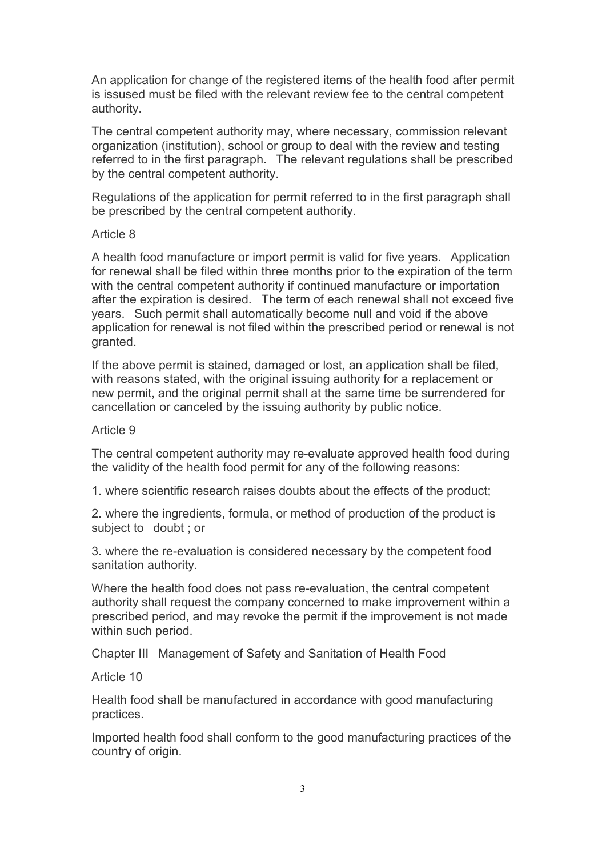An application for change of the registered items of the health food after permit is issused must be filed with the relevant review fee to the central competent authority.

The central competent authority may, where necessary, commission relevant organization (institution), school or group to deal with the review and testing referred to in the first paragraph. The relevant regulations shall be prescribed by the central competent authority.

Regulations of the application for permit referred to in the first paragraph shall be prescribed by the central competent authority.

## Article 8

A health food manufacture or import permit is valid for five years. Application for renewal shall be filed within three months prior to the expiration of the term with the central competent authority if continued manufacture or importation after the expiration is desired. The term of each renewal shall not exceed five years. Such permit shall automatically become null and void if the above application for renewal is not filed within the prescribed period or renewal is not granted.

If the above permit is stained, damaged or lost, an application shall be filed, with reasons stated, with the original issuing authority for a replacement or new permit, and the original permit shall at the same time be surrendered for cancellation or canceled by the issuing authority by public notice.

#### Article 9

The central competent authority may re-evaluate approved health food during the validity of the health food permit for any of the following reasons:

1. where scientific research raises doubts about the effects of the product;

2. where the ingredients, formula, or method of production of the product is subject to doubt ; or

3. where the re-evaluation is considered necessary by the competent food sanitation authority.

Where the health food does not pass re-evaluation, the central competent authority shall request the company concerned to make improvement within a prescribed period, and may revoke the permit if the improvement is not made within such period.

Chapter III Management of Safety and Sanitation of Health Food

#### Article 10

Health food shall be manufactured in accordance with good manufacturing practices.

Imported health food shall conform to the good manufacturing practices of the country of origin.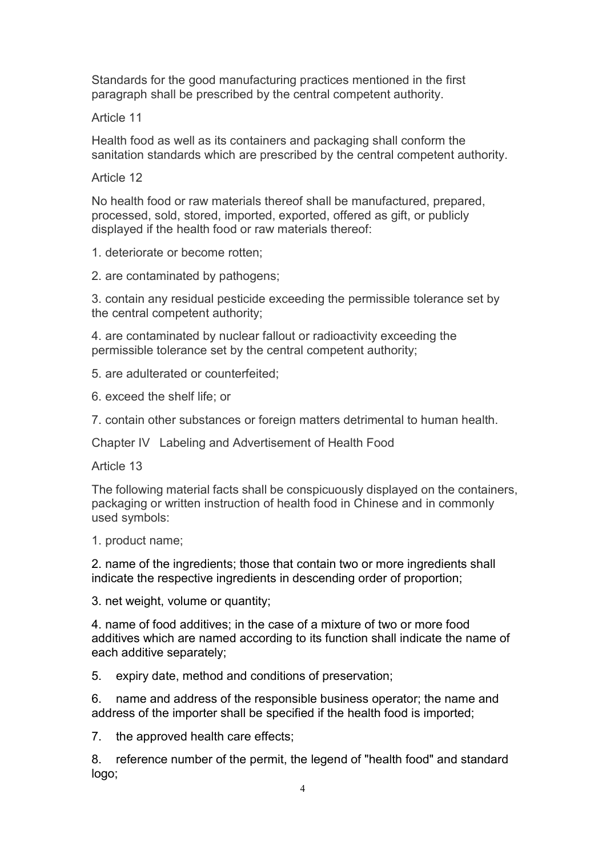Standards for the good manufacturing practices mentioned in the first paragraph shall be prescribed by the central competent authority.

Article 11

Health food as well as its containers and packaging shall conform the sanitation standards which are prescribed by the central competent authority.

Article 12

No health food or raw materials thereof shall be manufactured, prepared, processed, sold, stored, imported, exported, offered as gift, or publicly displayed if the health food or raw materials thereof:

1. deteriorate or become rotten;

2. are contaminated by pathogens;

3. contain any residual pesticide exceeding the permissible tolerance set by the central competent authority;

4. are contaminated by nuclear fallout or radioactivity exceeding the permissible tolerance set by the central competent authority;

5. are adulterated or counterfeited;

6. exceed the shelf life; or

7. contain other substances or foreign matters detrimental to human health.

Chapter IV Labeling and Advertisement of Health Food

Article 13

The following material facts shall be conspicuously displayed on the containers, packaging or written instruction of health food in Chinese and in commonly used symbols:

1. product name;

2. name of the ingredients; those that contain two or more ingredients shall indicate the respective ingredients in descending order of proportion;

3. net weight, volume or quantity;

4. name of food additives; in the case of a mixture of two or more food additives which are named according to its function shall indicate the name of each additive separately;

5. expiry date, method and conditions of preservation;

6. name and address of the responsible business operator; the name and address of the importer shall be specified if the health food is imported;

7. the approved health care effects;

8. reference number of the permit, the legend of "health food" and standard logo;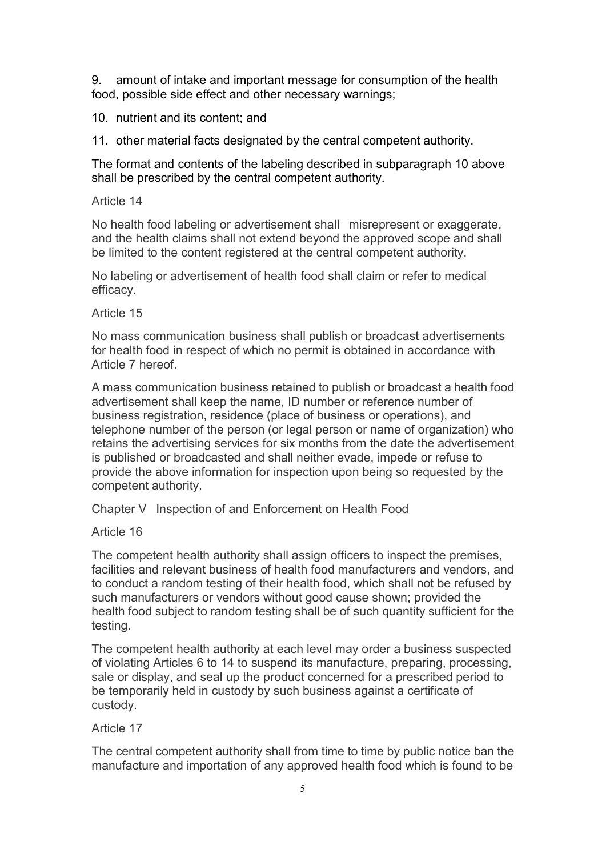9. amount of intake and important message for consumption of the health food, possible side effect and other necessary warnings;

10. nutrient and its content; and

11. other material facts designated by the central competent authority.

The format and contents of the labeling described in subparagraph 10 above shall be prescribed by the central competent authority.

Article 14

No health food labeling or advertisement shall misrepresent or exaggerate, and the health claims shall not extend beyond the approved scope and shall be limited to the content registered at the central competent authority.

No labeling or advertisement of health food shall claim or refer to medical efficacy.

Article 15

No mass communication business shall publish or broadcast advertisements for health food in respect of which no permit is obtained in accordance with Article 7 hereof.

A mass communication business retained to publish or broadcast a health food advertisement shall keep the name, ID number or reference number of business registration, residence (place of business or operations), and telephone number of the person (or legal person or name of organization) who retains the advertising services for six months from the date the advertisement is published or broadcasted and shall neither evade, impede or refuse to provide the above information for inspection upon being so requested by the competent authority.

Chapter V Inspection of and Enforcement on Health Food

Article 16

The competent health authority shall assign officers to inspect the premises, facilities and relevant business of health food manufacturers and vendors, and to conduct a random testing of their health food, which shall not be refused by such manufacturers or vendors without good cause shown; provided the health food subject to random testing shall be of such quantity sufficient for the testing.

The competent health authority at each level may order a business suspected of violating Articles 6 to 14 to suspend its manufacture, preparing, processing, sale or display, and seal up the product concerned for a prescribed period to be temporarily held in custody by such business against a certificate of custody.

## Article 17

The central competent authority shall from time to time by public notice ban the manufacture and importation of any approved health food which is found to be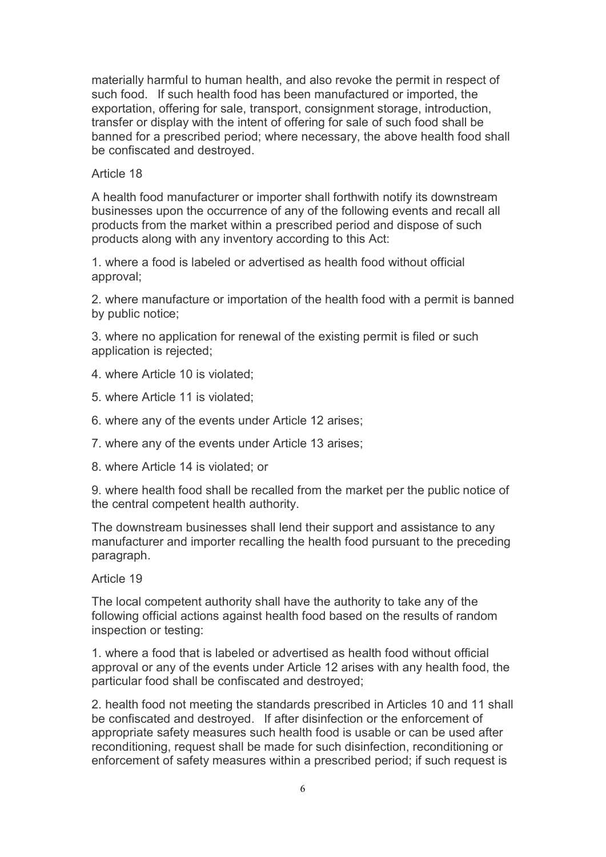materially harmful to human health, and also revoke the permit in respect of such food. If such health food has been manufactured or imported, the exportation, offering for sale, transport, consignment storage, introduction, transfer or display with the intent of offering for sale of such food shall be banned for a prescribed period; where necessary, the above health food shall be confiscated and destroyed.

## Article 18

A health food manufacturer or importer shall forthwith notify its downstream businesses upon the occurrence of any of the following events and recall all products from the market within a prescribed period and dispose of such products along with any inventory according to this Act:

1. where a food is labeled or advertised as health food without official approval;

2. where manufacture or importation of the health food with a permit is banned by public notice;

3. where no application for renewal of the existing permit is filed or such application is rejected;

- 4. where Article 10 is violated;
- 5. where Article 11 is violated;
- 6. where any of the events under Article 12 arises;
- 7. where any of the events under Article 13 arises;
- 8. where Article 14 is violated; or

9. where health food shall be recalled from the market per the public notice of the central competent health authority.

The downstream businesses shall lend their support and assistance to any manufacturer and importer recalling the health food pursuant to the preceding paragraph.

#### Article 19

The local competent authority shall have the authority to take any of the following official actions against health food based on the results of random inspection or testing:

1. where a food that is labeled or advertised as health food without official approval or any of the events under Article 12 arises with any health food, the particular food shall be confiscated and destroyed;

2. health food not meeting the standards prescribed in Articles 10 and 11 shall be confiscated and destroyed. If after disinfection or the enforcement of appropriate safety measures such health food is usable or can be used after reconditioning, request shall be made for such disinfection, reconditioning or enforcement of safety measures within a prescribed period; if such request is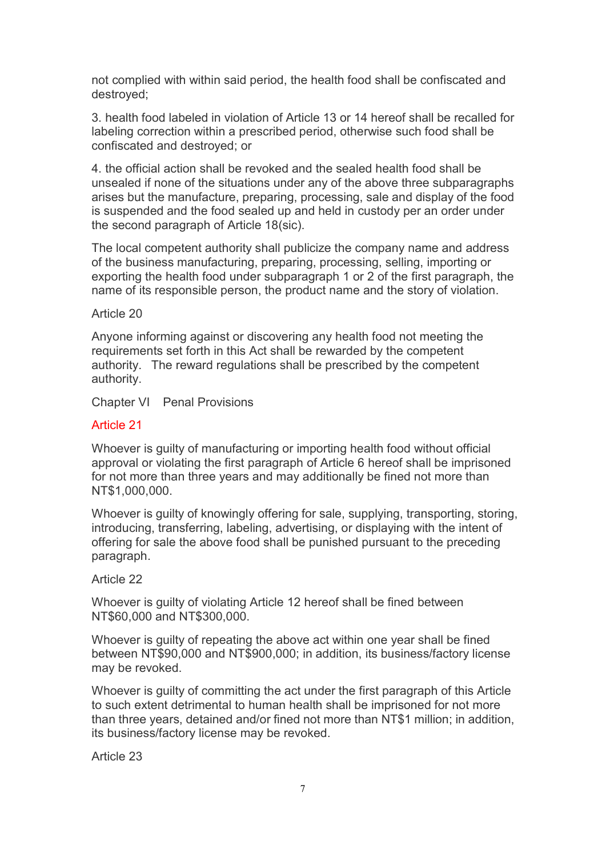not complied with within said period, the health food shall be confiscated and destroyed;

3. health food labeled in violation of Article 13 or 14 hereof shall be recalled for labeling correction within a prescribed period, otherwise such food shall be confiscated and destroyed; or

4. the official action shall be revoked and the sealed health food shall be unsealed if none of the situations under any of the above three subparagraphs arises but the manufacture, preparing, processing, sale and display of the food is suspended and the food sealed up and held in custody per an order under the second paragraph of Article 18(sic).

The local competent authority shall publicize the company name and address of the business manufacturing, preparing, processing, selling, importing or exporting the health food under subparagraph 1 or 2 of the first paragraph, the name of its responsible person, the product name and the story of violation.

## Article 20

Anyone informing against or discovering any health food not meeting the requirements set forth in this Act shall be rewarded by the competent authority. The reward regulations shall be prescribed by the competent authority.

Chapter VI Penal Provisions

## Article 21

Whoever is guilty of manufacturing or importing health food without official approval or violating the first paragraph of Article 6 hereof shall be imprisoned for not more than three years and may additionally be fined not more than NT\$1,000,000.

Whoever is guilty of knowingly offering for sale, supplying, transporting, storing, introducing, transferring, labeling, advertising, or displaying with the intent of offering for sale the above food shall be punished pursuant to the preceding paragraph.

#### Article 22

Whoever is guilty of violating Article 12 hereof shall be fined between NT\$60,000 and NT\$300,000.

Whoever is guilty of repeating the above act within one year shall be fined between NT\$90,000 and NT\$900,000; in addition, its business/factory license may be revoked.

Whoever is guilty of committing the act under the first paragraph of this Article to such extent detrimental to human health shall be imprisoned for not more than three years, detained and/or fined not more than NT\$1 million; in addition, its business/factory license may be revoked.

Article 23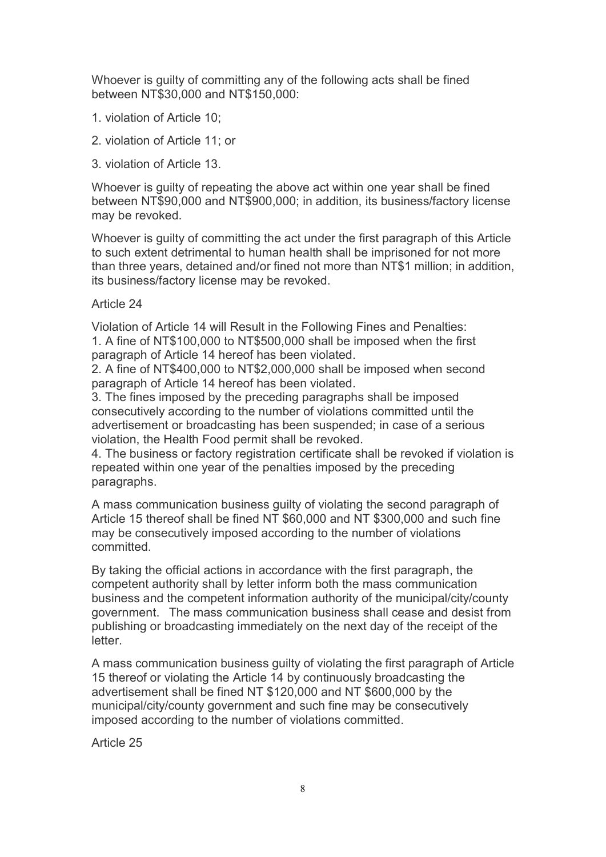Whoever is guilty of committing any of the following acts shall be fined between NT\$30,000 and NT\$150,000:

- 1. violation of Article 10;
- 2. violation of Article 11; or
- 3. violation of Article 13.

Whoever is guilty of repeating the above act within one year shall be fined between NT\$90,000 and NT\$900,000; in addition, its business/factory license may be revoked.

Whoever is guilty of committing the act under the first paragraph of this Article to such extent detrimental to human health shall be imprisoned for not more than three years, detained and/or fined not more than NT\$1 million; in addition, its business/factory license may be revoked.

## Article 24

Violation of Article 14 will Result in the Following Fines and Penalties: 1. A fine of NT\$100,000 to NT\$500,000 shall be imposed when the first paragraph of Article 14 hereof has been violated.

2. A fine of NT\$400,000 to NT\$2,000,000 shall be imposed when second paragraph of Article 14 hereof has been violated.

3. The fines imposed by the preceding paragraphs shall be imposed consecutively according to the number of violations committed until the advertisement or broadcasting has been suspended; in case of a serious violation, the Health Food permit shall be revoked.

4. The business or factory registration certificate shall be revoked if violation is repeated within one year of the penalties imposed by the preceding paragraphs.

A mass communication business guilty of violating the second paragraph of Article 15 thereof shall be fined NT \$60,000 and NT \$300,000 and such fine may be consecutively imposed according to the number of violations committed.

By taking the official actions in accordance with the first paragraph, the competent authority shall by letter inform both the mass communication business and the competent information authority of the municipal/city/county government. The mass communication business shall cease and desist from publishing or broadcasting immediately on the next day of the receipt of the letter.

A mass communication business guilty of violating the first paragraph of Article 15 thereof or violating the Article 14 by continuously broadcasting the advertisement shall be fined NT \$120,000 and NT \$600,000 by the municipal/city/county government and such fine may be consecutively imposed according to the number of violations committed.

Article 25